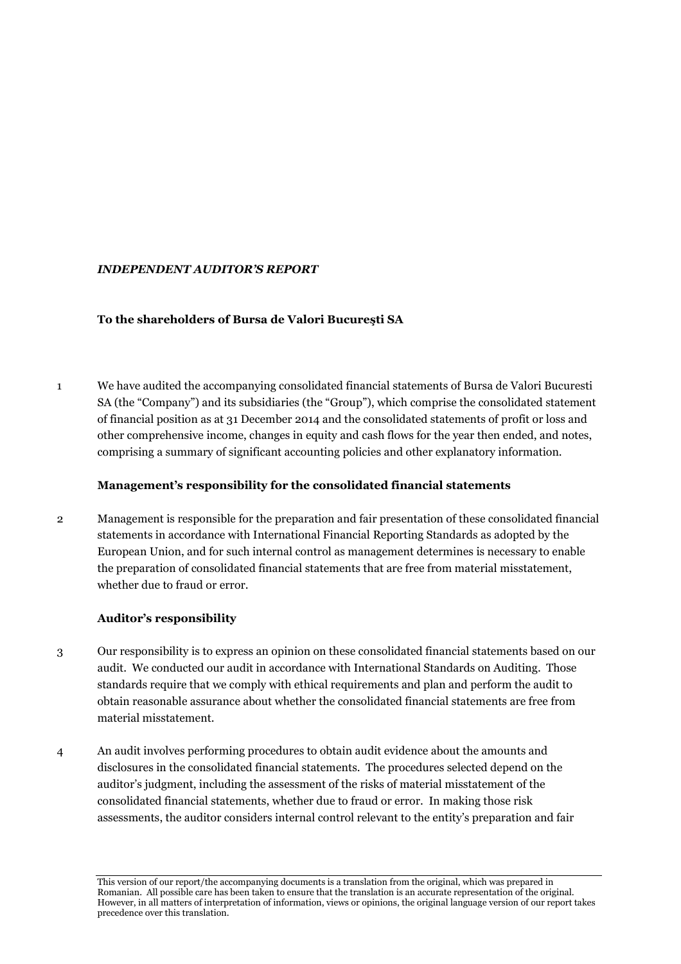# *INDEPENDENT AUDITOR'S REPORT*

## **To the shareholders of Bursa de Valori Bucureşti SA**

1 We have audited the accompanying consolidated financial statements of Bursa de Valori Bucuresti SA (the "Company") and its subsidiaries (the "Group"), which comprise the consolidated statement of financial position as at 31 December 2014 and the consolidated statements of profit or loss and other comprehensive income, changes in equity and cash flows for the year then ended, and notes, comprising a summary of significant accounting policies and other explanatory information.

## **Management's responsibility for the consolidated financial statements**

2 Management is responsible for the preparation and fair presentation of these consolidated financial statements in accordance with International Financial Reporting Standards as adopted by the European Union, and for such internal control as management determines is necessary to enable the preparation of consolidated financial statements that are free from material misstatement, whether due to fraud or error.

# **Auditor's responsibility**

- 3 Our responsibility is to express an opinion on these consolidated financial statements based on our audit. We conducted our audit in accordance with International Standards on Auditing. Those standards require that we comply with ethical requirements and plan and perform the audit to obtain reasonable assurance about whether the consolidated financial statements are free from material misstatement.
- 4 An audit involves performing procedures to obtain audit evidence about the amounts and disclosures in the consolidated financial statements. The procedures selected depend on the auditor's judgment, including the assessment of the risks of material misstatement of the consolidated financial statements, whether due to fraud or error. In making those risk assessments, the auditor considers internal control relevant to the entity's preparation and fair

This version of our report/the accompanying documents is a translation from the original, which was prepared in Romanian. All possible care has been taken to ensure that the translation is an accurate representation of the original. However, in all matters of interpretation of information, views or opinions, the original language version of our report takes precedence over this translation.